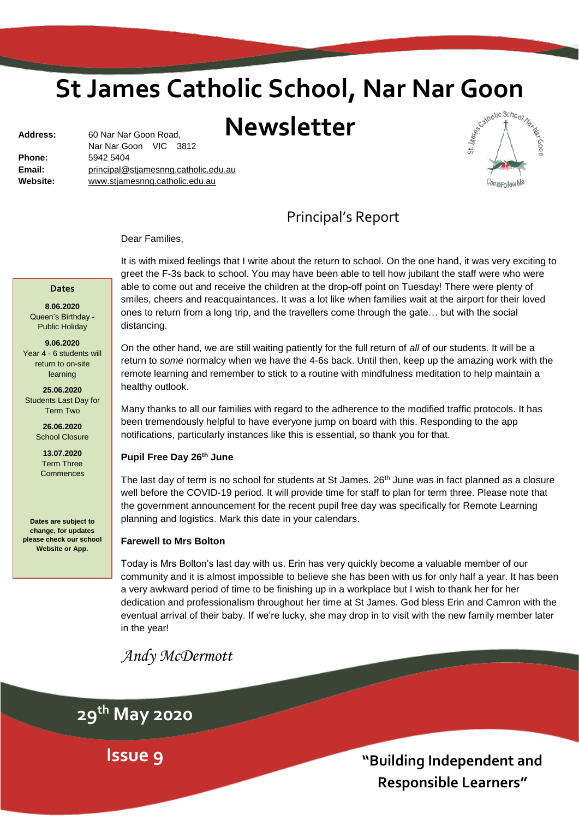# **St James Catholic School, Nar Nar Goon<br>Newsletter**

# **Newsletter**

| <b>Address:</b> | 60 Nar Nar Goon Road,                |  |  |
|-----------------|--------------------------------------|--|--|
|                 | Nar Nar Goon VIC 3812                |  |  |
| <b>Phone:</b>   | 5942 5404                            |  |  |
| Email:          | principal@stjamesnng.catholic.edu.au |  |  |
| Website:        | www.stjamesnng.catholic.edu.au       |  |  |
|                 |                                      |  |  |



Principal's Report

Dear Families,

#### **Dates**

**8.06.2020** Queen's Birthday - Public Holiday

**9.06.2020** Year 4 - 6 students will return to on-site learning

**25.06.2020** Students Last Day for Term Two

> **26.06.2020** School Closure

**13.07.2020** Term Three Commences

**Dates are subject to change, for updates please check our school Website or App.**

It is with mixed feelings that I write about the return to school. On the one hand, it was very exciting to greet the F-3s back to school. You may have been able to tell how jubilant the staff were who were able to come out and receive the children at the drop-off point on Tuesday! There were plenty of smiles, cheers and reacquaintances. It was a lot like when families wait at the airport for their loved ones to return from a long trip, and the travellers come through the gate… but with the social distancing.

On the other hand, we are still waiting patiently for the full return of *all* of our students. It will be a return to *some* normalcy when we have the 4-6s back. Until then, keep up the amazing work with the remote learning and remember to stick to a routine with mindfulness meditation to help maintain a healthy outlook.

Many thanks to all our families with regard to the adherence to the modified traffic protocols. It has been tremendously helpful to have everyone jump on board with this. Responding to the app notifications, particularly instances like this is essential, so thank you for that.

#### **Pupil Free Day 26th June**

The last day of term is no school for students at St James. 26<sup>th</sup> June was in fact planned as a closure well before the COVID-19 period. It will provide time for staff to plan for term three. Please note that the government announcement for the recent pupil free day was specifically for Remote Learning planning and logistics. Mark this date in your calendars.

#### **Farewell to Mrs Bolton**

Today is Mrs Bolton's last day with us. Erin has very quickly become a valuable member of our community and it is almost impossible to believe she has been with us for only half a year. It has been a very awkward period of time to be finishing up in a workplace but I wish to thank her for her dedication and professionalism throughout her time at St James. God bless Erin and Camron with the eventual arrival of their baby. If we're lucky, she may drop in to visit with the new family member later in the year!

# *Andy McDermott*

**29th May 2020**

**Issue 9**

**"Building Independent and Responsible Learners"**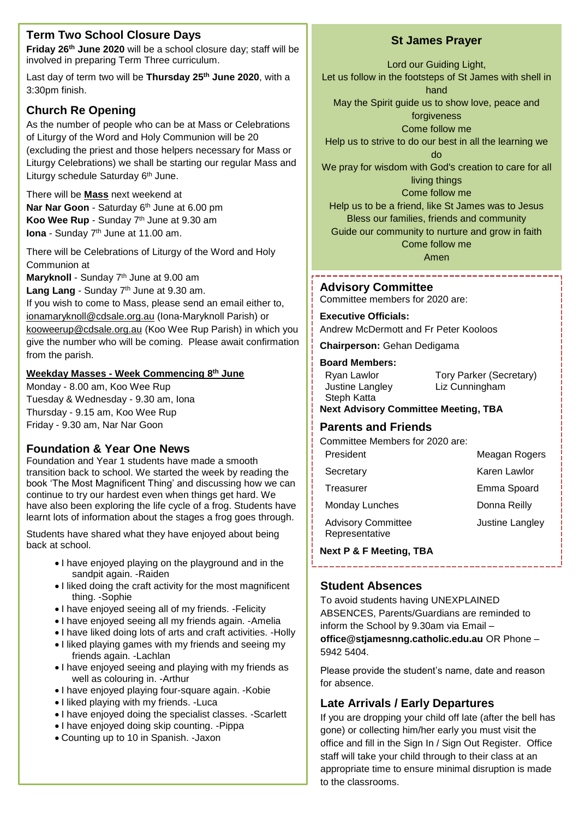# **Term Two School Closure Days**

**Friday 26th June 2020** will be a school closure day; staff will be involved in preparing Term Three curriculum.

Last day of term two will be **Thursday 25th June 2020**, with a 3:30pm finish.

# **Church Re Opening**

As the number of people who can be at Mass or Celebrations of Liturgy of the Word and Holy Communion will be 20 (excluding the priest and those helpers necessary for Mass or Liturgy Celebrations) we shall be starting our regular Mass and Liturgy schedule Saturday 6<sup>th</sup> June.

There will be **Mass** next weekend at **Nar Nar Goon** - Saturday 6 th June at 6.00 pm **Koo Wee Rup** - Sunday 7 th June at 9.30 am **Iona** - Sunday 7 th June at 11.00 am.

There will be Celebrations of Liturgy of the Word and Holy Communion at

Maryknoll - Sunday 7<sup>th</sup> June at 9.00 am

Lang Lang - Sunday 7<sup>th</sup> June at 9.30 am. If you wish to come to Mass, please send an email either to, [ionamaryknoll@cdsale.org.au](mailto:ionamaryknoll@cdsale.org.au) (Iona-Maryknoll Parish) or kooweerup@cdsale.org.au (Koo Wee Rup Parish) in which you give the number who will be coming. Please await confirmation from the parish.

## **Weekday Masses - Week Commencing 8 th June**

Monday - 8.00 am, Koo Wee Rup Tuesday & Wednesday - 9.30 am, Iona Thursday - 9.15 am, Koo Wee Rup Friday - 9.30 am, Nar Nar Goon

# **Foundation & Year One News**

Foundation and Year 1 students have made a smooth transition back to school. We started the week by reading the book 'The Most Magnificent Thing' and discussing how we can continue to try our hardest even when things get hard. We have also been exploring the life cycle of a frog. Students have learnt lots of information about the stages a frog goes through.

Students have shared what they have enjoyed about being back at school.

- I have enjoved playing on the playground and in the sandpit again. -Raiden
- I liked doing the craft activity for the most magnificent thing. -Sophie
- I have enjoyed seeing all of my friends. Felicity
- I have enjoyed seeing all my friends again. Amelia
- I have liked doing lots of arts and craft activities. -Holly
- I liked playing games with my friends and seeing my friends again. -Lachlan
- I have enjoyed seeing and playing with my friends as well as colouring in. -Arthur
- I have enjoyed playing four-square again. Kobie
- I liked playing with my friends. Luca
- I have enjoyed doing the specialist classes. -Scarlett
- I have enjoyed doing skip counting. Pippa
- Counting up to 10 in Spanish. -Jaxon

# **St James Prayer**

Lord our Guiding Light,

Let us follow in the footsteps of St James with shell in hand

May the Spirit guide us to show love, peace and

forgiveness Come follow me

Help us to strive to do our best in all the learning we

do

We pray for wisdom with God's creation to care for all living things

Come follow me

Help us to be a friend, like St James was to Jesus Bless our families, friends and community Guide our community to nurture and grow in faith

Come follow me

Amen

# **Advisory Committee**

Committee members for 2020 are:

#### **Executive Officials:**

Andrew McDermott and Fr Peter Kooloos

**Chairperson:** Gehan Dedigama

#### **Board Members:**

| Ryan Lawlor     | Tory Parker (Secretary) |
|-----------------|-------------------------|
| Justine Langley | Liz Cunningham          |
| Steph Katta     |                         |
|                 |                         |

**Next Advisory Committee Meeting, TBA**

#### **Parents and Friends**

Committee Members for 2020 are:

| President                                   | Meagan Rogers   |
|---------------------------------------------|-----------------|
| Secretary                                   | Karen Lawlor    |
| Treasurer                                   | Emma Spoard     |
| Monday Lunches                              | Donna Reilly    |
| <b>Advisory Committee</b><br>Representative | Justine Langley |
|                                             |                 |

**Next P & F Meeting, TBA**

# **Student Absences**

To avoid students having UNEXPLAINED ABSENCES, Parents/Guardians are reminded to inform the School by 9.30am via Email – **office@stjamesnng.catholic.edu.au** OR Phone – 5942 5404.

Please provide the student's name, date and reason for absence.

# **Late Arrivals / Early Departures**

2 office and fill in the Sign In / Sign Out Register. Office If you are dropping your child off late (after the bell has gone) or collecting him/her early you must visit the staff will take your child through to their class at an appropriate time to ensure minimal disruption is made to the classrooms.